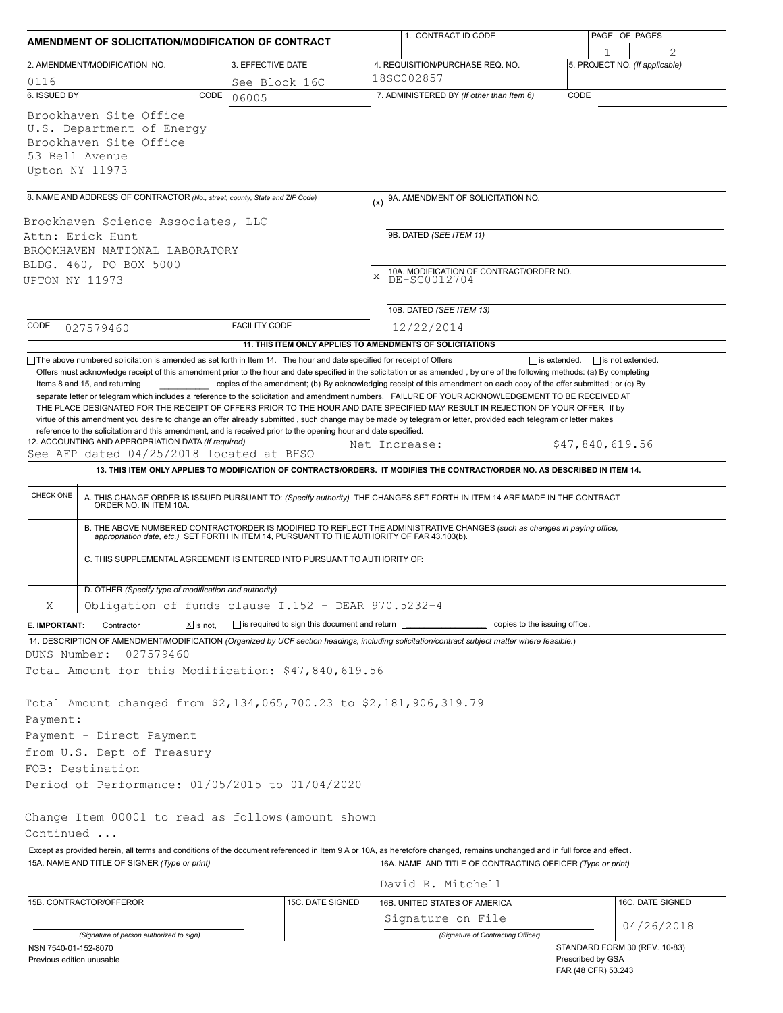| AMENDMENT OF SOLICITATION/MODIFICATION OF CONTRACT                                                                                                                                                                                                                                                                                                                                                                                                                                                                       |                                              | 1. CONTRACT ID CODE                                                                                                                                                                                                      | PAGE OF PAGES                  |  |  |  |  |
|--------------------------------------------------------------------------------------------------------------------------------------------------------------------------------------------------------------------------------------------------------------------------------------------------------------------------------------------------------------------------------------------------------------------------------------------------------------------------------------------------------------------------|----------------------------------------------|--------------------------------------------------------------------------------------------------------------------------------------------------------------------------------------------------------------------------|--------------------------------|--|--|--|--|
| 2. AMENDMENT/MODIFICATION NO.                                                                                                                                                                                                                                                                                                                                                                                                                                                                                            | 3. EFFECTIVE DATE                            | 4. REQUISITION/PURCHASE REQ. NO.                                                                                                                                                                                         | 5. PROJECT NO. (If applicable) |  |  |  |  |
| 0116                                                                                                                                                                                                                                                                                                                                                                                                                                                                                                                     | See Block 16C                                | 18SC002857                                                                                                                                                                                                               |                                |  |  |  |  |
| 6. ISSUED BY<br>CODE                                                                                                                                                                                                                                                                                                                                                                                                                                                                                                     | 06005                                        | 7. ADMINISTERED BY (If other than Item 6)                                                                                                                                                                                | CODE                           |  |  |  |  |
| Brookhaven Site Office<br>U.S. Department of Energy<br>Brookhaven Site Office<br>53 Bell Avenue<br>Upton NY 11973                                                                                                                                                                                                                                                                                                                                                                                                        |                                              |                                                                                                                                                                                                                          |                                |  |  |  |  |
| 8. NAME AND ADDRESS OF CONTRACTOR (No., street, county, State and ZIP Code)                                                                                                                                                                                                                                                                                                                                                                                                                                              |                                              |                                                                                                                                                                                                                          |                                |  |  |  |  |
|                                                                                                                                                                                                                                                                                                                                                                                                                                                                                                                          |                                              | 9A. AMENDMENT OF SOLICITATION NO.<br>(x)                                                                                                                                                                                 |                                |  |  |  |  |
| Brookhaven Science Associates, LLC<br>Attn: Erick Hunt<br>BROOKHAVEN NATIONAL LABORATORY<br>BLDG. 460, PO BOX 5000<br>UPTON NY 11973                                                                                                                                                                                                                                                                                                                                                                                     |                                              | 9B. DATED (SEE ITEM 11)<br>10A. MODIFICATION OF CONTRACT/ORDER NO.<br>X<br>DE-SC0012704                                                                                                                                  |                                |  |  |  |  |
|                                                                                                                                                                                                                                                                                                                                                                                                                                                                                                                          |                                              | 10B. DATED (SEE ITEM 13)                                                                                                                                                                                                 |                                |  |  |  |  |
| CODE<br>027579460                                                                                                                                                                                                                                                                                                                                                                                                                                                                                                        | <b>FACILITY CODE</b>                         | 12/22/2014                                                                                                                                                                                                               |                                |  |  |  |  |
|                                                                                                                                                                                                                                                                                                                                                                                                                                                                                                                          |                                              | 11. THIS ITEM ONLY APPLIES TO AMENDMENTS OF SOLICITATIONS                                                                                                                                                                |                                |  |  |  |  |
| THE PLACE DESIGNATED FOR THE RECEIPT OF OFFERS PRIOR TO THE HOUR AND DATE SPECIFIED MAY RESULT IN REJECTION OF YOUR OFFER If by<br>virtue of this amendment you desire to change an offer already submitted, such change may be made by telegram or letter, provided each telegram or letter makes<br>reference to the solicitation and this amendment, and is received prior to the opening hour and date specified.<br>12. ACCOUNTING AND APPROPRIATION DATA (If required)<br>See AFP dated 04/25/2018 located at BHSO |                                              | Net Increase:                                                                                                                                                                                                            | \$47,840,619.56                |  |  |  |  |
|                                                                                                                                                                                                                                                                                                                                                                                                                                                                                                                          |                                              | 13. THIS ITEM ONLY APPLIES TO MODIFICATION OF CONTRACTS/ORDERS. IT MODIFIES THE CONTRACT/ORDER NO. AS DESCRIBED IN ITEM 14.                                                                                              |                                |  |  |  |  |
|                                                                                                                                                                                                                                                                                                                                                                                                                                                                                                                          |                                              |                                                                                                                                                                                                                          |                                |  |  |  |  |
| CHECK ONE                                                                                                                                                                                                                                                                                                                                                                                                                                                                                                                |                                              | A. THIS CHANGE ORDER IS ISSUED PURSUANT TO: (Specify authority) THE CHANGES SET FORTH IN ITEM 14 ARE MADE IN THE CONTRACT ORDER NO. IN ITEM 10A.                                                                         |                                |  |  |  |  |
|                                                                                                                                                                                                                                                                                                                                                                                                                                                                                                                          |                                              | B. THE ABOVE NUMBERED CONTRACT/ORDER IS MODIFIED TO REFLECT THE ADMINISTRATIVE CHANGES (such as changes in paying office,<br>appropriation date, etc.) SET FORTH IN ITEM 14, PURSUANT TO THE AUTHORITY OF FAR 43.103(b). |                                |  |  |  |  |
| C. THIS SUPPLEMENTAL AGREEMENT IS ENTERED INTO PURSUANT TO AUTHORITY OF:                                                                                                                                                                                                                                                                                                                                                                                                                                                 |                                              |                                                                                                                                                                                                                          |                                |  |  |  |  |
| D. OTHER (Specify type of modification and authority)                                                                                                                                                                                                                                                                                                                                                                                                                                                                    |                                              |                                                                                                                                                                                                                          |                                |  |  |  |  |
| Obligation of funds clause I.152 - DEAR 970.5232-4<br>X                                                                                                                                                                                                                                                                                                                                                                                                                                                                  |                                              |                                                                                                                                                                                                                          |                                |  |  |  |  |
| $\boxed{\mathsf{x}}$ is not.<br>Contractor<br>E. IMPORTANT:                                                                                                                                                                                                                                                                                                                                                                                                                                                              | is required to sign this document and return | copies to the issuing office.                                                                                                                                                                                            |                                |  |  |  |  |
| 14. DESCRIPTION OF AMENDMENT/MODIFICATION (Organized by UCF section headings, including solicitation/contract subject matter where feasible.)                                                                                                                                                                                                                                                                                                                                                                            |                                              |                                                                                                                                                                                                                          |                                |  |  |  |  |
| DUNS Number:<br>027579460                                                                                                                                                                                                                                                                                                                                                                                                                                                                                                |                                              |                                                                                                                                                                                                                          |                                |  |  |  |  |
| Total Amount for this Modification: \$47,840,619.56                                                                                                                                                                                                                                                                                                                                                                                                                                                                      |                                              |                                                                                                                                                                                                                          |                                |  |  |  |  |
| Total Amount changed from \$2,134,065,700.23 to \$2,181,906,319.79<br>Payment:<br>Payment - Direct Payment                                                                                                                                                                                                                                                                                                                                                                                                               |                                              |                                                                                                                                                                                                                          |                                |  |  |  |  |
| from U.S. Dept of Treasury                                                                                                                                                                                                                                                                                                                                                                                                                                                                                               |                                              |                                                                                                                                                                                                                          |                                |  |  |  |  |
| FOB: Destination                                                                                                                                                                                                                                                                                                                                                                                                                                                                                                         |                                              |                                                                                                                                                                                                                          |                                |  |  |  |  |
| Period of Performance: 01/05/2015 to 01/04/2020                                                                                                                                                                                                                                                                                                                                                                                                                                                                          |                                              |                                                                                                                                                                                                                          |                                |  |  |  |  |
|                                                                                                                                                                                                                                                                                                                                                                                                                                                                                                                          |                                              |                                                                                                                                                                                                                          |                                |  |  |  |  |
| Change Item 00001 to read as follows (amount shown<br>Continued                                                                                                                                                                                                                                                                                                                                                                                                                                                          |                                              |                                                                                                                                                                                                                          |                                |  |  |  |  |
|                                                                                                                                                                                                                                                                                                                                                                                                                                                                                                                          |                                              |                                                                                                                                                                                                                          |                                |  |  |  |  |
| Except as provided herein, all terms and conditions of the document referenced in Item 9 A or 10A, as heretofore changed, remains unchanged and in full force and effect.<br>15A. NAME AND TITLE OF SIGNER (Type or print)                                                                                                                                                                                                                                                                                               |                                              | 16A. NAME AND TITLE OF CONTRACTING OFFICER (Type or print)                                                                                                                                                               |                                |  |  |  |  |
|                                                                                                                                                                                                                                                                                                                                                                                                                                                                                                                          |                                              | David R. Mitchell                                                                                                                                                                                                        |                                |  |  |  |  |
| 15B. CONTRACTOR/OFFEROR                                                                                                                                                                                                                                                                                                                                                                                                                                                                                                  | 15C. DATE SIGNED                             | 16B. UNITED STATES OF AMERICA                                                                                                                                                                                            | 16C. DATE SIGNED               |  |  |  |  |
|                                                                                                                                                                                                                                                                                                                                                                                                                                                                                                                          |                                              | Signature on File                                                                                                                                                                                                        |                                |  |  |  |  |
| (Signature of person authorized to sign)                                                                                                                                                                                                                                                                                                                                                                                                                                                                                 |                                              | (Signature of Contracting Officer)                                                                                                                                                                                       | 04/26/2018                     |  |  |  |  |
| NSN 7540-01-152-8070                                                                                                                                                                                                                                                                                                                                                                                                                                                                                                     |                                              |                                                                                                                                                                                                                          | STANDARD FORM 30 (REV. 10-83)  |  |  |  |  |
| Previous edition unusable                                                                                                                                                                                                                                                                                                                                                                                                                                                                                                |                                              |                                                                                                                                                                                                                          | Prescribed by GSA              |  |  |  |  |

FAR (48 CFR) 53.243